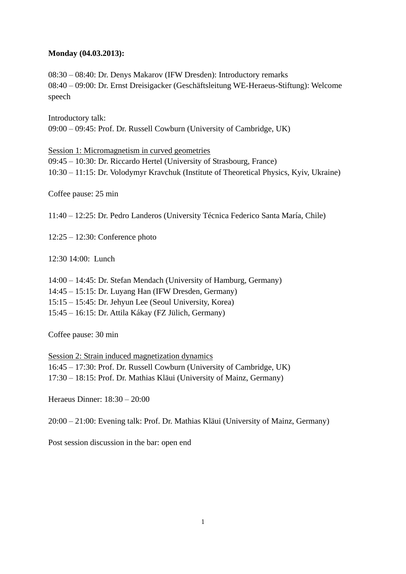## **Monday (04.03.2013):**

08:30 – 08:40: Dr. Denys Makarov (IFW Dresden): Introductory remarks 08:40 – 09:00: Dr. Ernst Dreisigacker (Geschäftsleitung WE-Heraeus-Stiftung): Welcome speech

Introductory talk: 09:00 – 09:45: Prof. Dr. Russell Cowburn (University of Cambridge, UK)

Session 1: Micromagnetism in curved geometries 09:45 – 10:30: Dr. Riccardo Hertel (University of Strasbourg, France) 10:30 – 11:15: Dr. Volodymyr Kravchuk (Institute of Theoretical Physics, Kyiv, Ukraine)

Coffee pause: 25 min

11:40 – 12:25: Dr. [Pedro Landeros](http://www.fis.utfsm.cl/site/index.php/es/personas/academicos/1-academicos/100-planderos.html) (University Técnica Federico Santa María, Chile)

12:25 – 12:30: Conference photo

12:30 14:00: Lunch

14:00 – 14:45: Dr. Stefan Mendach (University of Hamburg, Germany) 14:45 – 15:15: Dr. Luyang Han (IFW Dresden, Germany) 15:15 – 15:45: Dr. Jehyun Lee (Seoul University, Korea) 15:45 – 16:15: Dr. Attila Kákay (FZ Jülich, Germany)

Coffee pause: 30 min

Session 2: Strain induced magnetization dynamics 16:45 – 17:30: Prof. Dr. Russell Cowburn (University of Cambridge, UK) 17:30 – 18:15: Prof. Dr. Mathias Kläui (University of Mainz, Germany)

Heraeus Dinner: 18:30 – 20:00

20:00 – 21:00: Evening talk: Prof. Dr. Mathias Kläui (University of Mainz, Germany)

Post session discussion in the bar: open end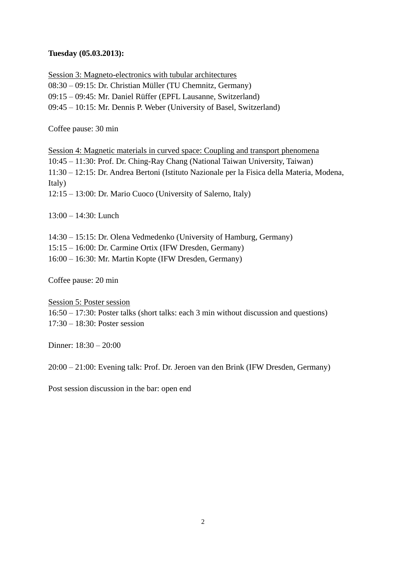## **Tuesday (05.03.2013):**

Session 3: Magneto-electronics with tubular architectures 08:30 – 09:15: Dr. Christian Müller (TU Chemnitz, Germany) 09:15 – 09:45: Mr. Daniel Rüffer (EPFL Lausanne, Switzerland) 09:45 – 10:15: Mr. Dennis P. Weber (University of Basel, Switzerland)

Coffee pause: 30 min

Session 4: Magnetic materials in curved space: Coupling and transport phenomena 10:45 – 11:30: Prof. Dr. Ching-Ray Chang (National Taiwan University, Taiwan) 11:30 – 12:15: Dr. Andrea Bertoni (Istituto Nazionale per la Fisica della Materia, Modena, Italy) 12:15 – 13:00: Dr. Mario Cuoco (University of Salerno, Italy)

13:00 – 14:30: Lunch

14:30 – 15:15: Dr. Olena Vedmedenko (University of Hamburg, Germany)

15:15 – 16:00: Dr. Carmine Ortix (IFW Dresden, Germany)

16:00 – 16:30: Mr. Martin Kopte (IFW Dresden, Germany)

Coffee pause: 20 min

Session 5: Poster session

16:50 – 17:30: Poster talks (short talks: each 3 min without discussion and questions) 17:30 – 18:30: Poster session

Dinner: 18:30 – 20:00

20:00 – 21:00: Evening talk: Prof. Dr. Jeroen van den Brink (IFW Dresden, Germany)

Post session discussion in the bar: open end